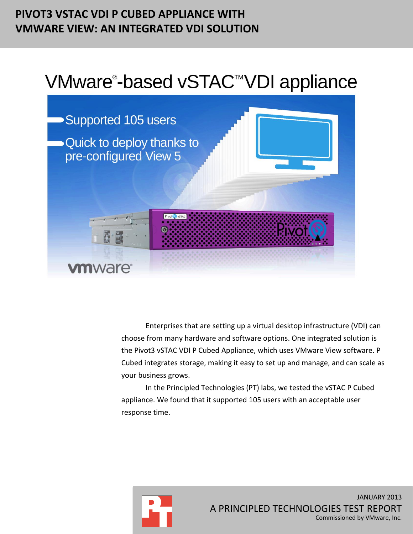# **PIVOT3 VSTAC VDI P CUBED APPLIANCE WITH VMWARE VIEW: AN INTEGRATED VDI SOLUTION**

# VMware®-based vSTAC™VDI appliance



Enterprises that are setting up a virtual desktop infrastructure (VDI) can choose from many hardware and software options. One integrated solution is the Pivot3 vSTAC VDI P Cubed Appliance, which uses VMware View software. P Cubed integrates storage, making it easy to set up and manage, and can scale as your business grows.

In the Principled Technologies (PT) labs, we tested the vSTAC P Cubed appliance. We found that it supported 105 users with an acceptable user response time.

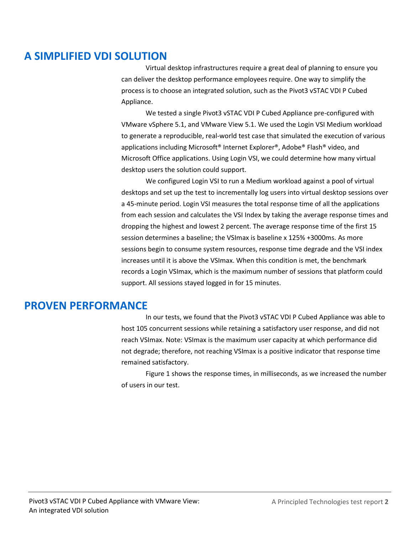# **A SIMPLIFIED VDI SOLUTION**

Virtual desktop infrastructures require a great deal of planning to ensure you can deliver the desktop performance employees require. One way to simplify the process is to choose an integrated solution, such as the Pivot3 vSTAC VDI P Cubed Appliance.

We tested a single Pivot3 vSTAC VDI P Cubed Appliance pre-configured with VMware vSphere 5.1, and VMware View 5.1. We used the Login VSI Medium workload to generate a reproducible, real-world test case that simulated the execution of various applications including Microsoft® Internet Explorer®, Adobe® Flash® video, and Microsoft Office applications. Using Login VSI, we could determine how many virtual desktop users the solution could support.

We configured Login VSI to run a Medium workload against a pool of virtual desktops and set up the test to incrementally log users into virtual desktop sessions over a 45-minute period. Login VSI measures the total response time of all the applications from each session and calculates the VSI Index by taking the average response times and dropping the highest and lowest 2 percent. The average response time of the first 15 session determines a baseline; the VSImax is baseline x 125% +3000ms. As more sessions begin to consume system resources, response time degrade and the VSI index increases until it is above the VSImax. When this condition is met, the benchmark records a Login VSImax, which is the maximum number of sessions that platform could support. All sessions stayed logged in for 15 minutes.

# **PROVEN PERFORMANCE**

In our tests, we found that the Pivot3 vSTAC VDI P Cubed Appliance was able to host 105 concurrent sessions while retaining a satisfactory user response, and did not reach VSImax. Note: VSImax is the maximum user capacity at which performance did not degrade; therefore, not reaching VSImax is a positive indicator that response time remained satisfactory.

Figure 1 shows the response times, in milliseconds, as we increased the number of users in our test.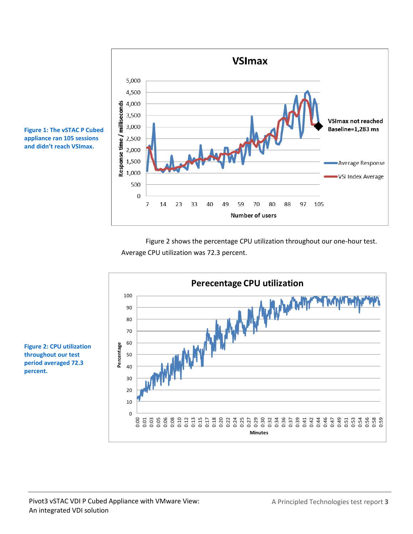

**Figure 1: The vSTAC P Cubed appliance ran 105 sessions and didn't reach VSImax.** 

> Figure 2 shows the percentage CPU utilization throughout our one-hour test. Average CPU utilization was 72.3 percent.



**Figure 2: CPU utilization throughout our test period averaged 72.3 percent.**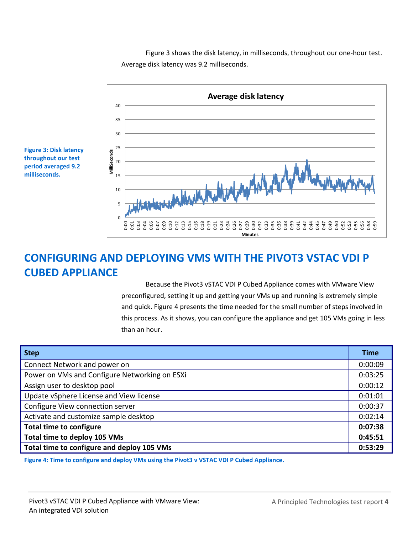Figure 3 shows the disk latency, in milliseconds, throughout our one-hour test. Average disk latency was 9.2 milliseconds.



**Figure 3: Disk latency throughout our test period averaged 9.2 milliseconds.**

# **CONFIGURING AND DEPLOYING VMS WITH THE PIVOT3 VSTAC VDI P CUBED APPLIANCE**

Because the Pivot3 vSTAC VDI P Cubed Appliance comes with VMware View preconfigured, setting it up and getting your VMs up and running is extremely simple and quick. Figure 4 presents the time needed for the small number of steps involved in this process. As it shows, you can configure the appliance and get 105 VMs going in less than an hour.

| <b>Step</b>                                   | <b>Time</b> |
|-----------------------------------------------|-------------|
| Connect Network and power on                  | 0:00:09     |
| Power on VMs and Configure Networking on ESXi | 0:03:25     |
| Assign user to desktop pool                   | 0:00:12     |
| Update vSphere License and View license       | 0:01:01     |
| Configure View connection server              | 0:00:37     |
| Activate and customize sample desktop         | 0:02:14     |
| <b>Total time to configure</b>                | 0:07:38     |
| Total time to deploy 105 VMs                  | 0:45:51     |
| Total time to configure and deploy 105 VMs    | 0:53:29     |

**Figure 4: Time to configure and deploy VMs using the Pivot3 v VSTAC VDI P Cubed Appliance.**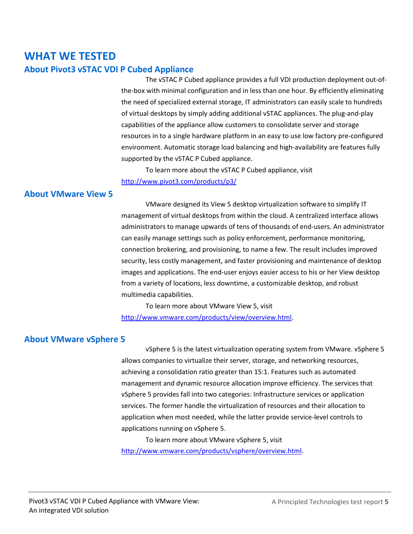# **WHAT WE TESTED About Pivot3 vSTAC VDI P Cubed Appliance**

The vSTAC P Cubed appliance provides a full VDI production deployment out-ofthe-box with minimal configuration and in less than one hour. By efficiently eliminating the need of specialized external storage, IT administrators can easily scale to hundreds of virtual desktops by simply adding additional vSTAC appliances. The plug-and-play capabilities of the appliance allow customers to consolidate server and storage resources in to a single hardware platform in an easy to use low factory pre-configured environment. Automatic storage load balancing and high-availability are features fully supported by the vSTAC P Cubed appliance.

To learn more about the vSTAC P Cubed appliance, visit <http://www.pivot3.com/products/p3/>

# **About VMware View 5**

VMware designed its View 5 desktop virtualization software to simplify IT management of virtual desktops from within the cloud. A centralized interface allows administrators to manage upwards of tens of thousands of end-users. An administrator can easily manage settings such as policy enforcement, performance monitoring, connection brokering, and provisioning, to name a few. The result includes improved security, less costly management, and faster provisioning and maintenance of desktop images and applications. The end-user enjoys easier access to his or her View desktop from a variety of locations, less downtime, a customizable desktop, and robust multimedia capabilities.

To learn more about VMware View 5, visit [http://www.vmware.com/products/view/overview.html.](http://www.vmware.com/products/view/overview.html)

# **About VMware vSphere 5**

vSphere 5 is the latest virtualization operating system from VMware. vSphere 5 allows companies to virtualize their server, storage, and networking resources, achieving a consolidation ratio greater than 15:1. Features such as automated management and dynamic resource allocation improve efficiency. The services that vSphere 5 provides fall into two categories: Infrastructure services or application services. The former handle the virtualization of resources and their allocation to application when most needed, while the latter provide service-level controls to applications running on vSphere 5.

To learn more about VMware vSphere 5, visit [http://www.vmware.com/products/vsphere/overview.html.](http://www.vmware.com/products/vsphere/overview.html)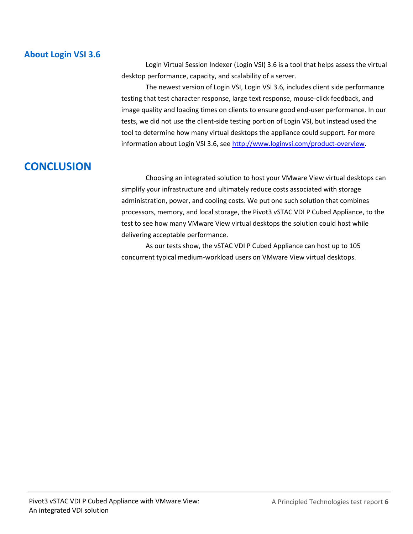# **About Login VSI 3.6**

Login Virtual Session Indexer (Login VSI) 3.6 is a tool that helps assess the virtual desktop performance, capacity, and scalability of a server.

The newest version of Login VSI, Login VSI 3.6, includes client side performance testing that test character response, large text response, mouse-click feedback, and image quality and loading times on clients to ensure good end-user performance. In our tests, we did not use the client-side testing portion of Login VSI, but instead used the tool to determine how many virtual desktops the appliance could support. For more information about Login VSI 3.6, see [http://www.loginvsi.com/product-overview.](http://www.loginvsi.com/product-overview)

# **CONCLUSION**

Choosing an integrated solution to host your VMware View virtual desktops can simplify your infrastructure and ultimately reduce costs associated with storage administration, power, and cooling costs. We put one such solution that combines processors, memory, and local storage, the Pivot3 vSTAC VDI P Cubed Appliance, to the test to see how many VMware View virtual desktops the solution could host while delivering acceptable performance.

As our tests show, the vSTAC VDI P Cubed Appliance can host up to 105 concurrent typical medium-workload users on VMware View virtual desktops.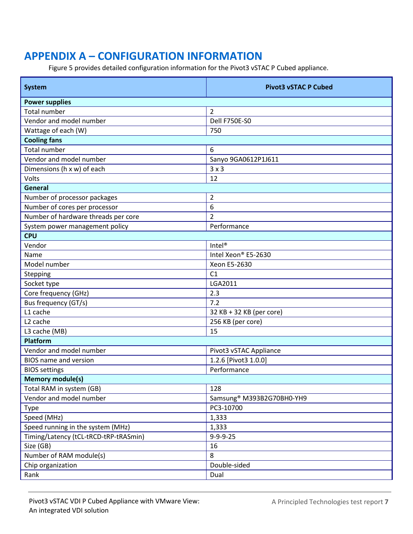# **APPENDIX A – CONFIGURATION INFORMATION**

Figure 5 provides detailed configuration information for the Pivot3 vSTAC P Cubed appliance.

| <b>System</b>                         | <b>Pivot3 vSTAC P Cubed</b>           |  |  |  |
|---------------------------------------|---------------------------------------|--|--|--|
| <b>Power supplies</b>                 |                                       |  |  |  |
| <b>Total number</b>                   | $\overline{2}$                        |  |  |  |
| Vendor and model number               | Dell F750E-S0                         |  |  |  |
| Wattage of each (W)                   | 750                                   |  |  |  |
| <b>Cooling fans</b>                   |                                       |  |  |  |
| <b>Total number</b>                   | 6                                     |  |  |  |
| Vendor and model number               | Sanyo 9GA0612P1J611                   |  |  |  |
| Dimensions (h x w) of each            | 3x3                                   |  |  |  |
| Volts                                 | 12                                    |  |  |  |
| General                               |                                       |  |  |  |
| Number of processor packages          | $\overline{2}$                        |  |  |  |
| Number of cores per processor         | 6                                     |  |  |  |
| Number of hardware threads per core   | $\overline{2}$                        |  |  |  |
| System power management policy        | Performance                           |  |  |  |
| <b>CPU</b>                            |                                       |  |  |  |
| Vendor                                | Intel <sup>®</sup>                    |  |  |  |
| Name                                  | Intel Xeon® E5-2630                   |  |  |  |
| Model number                          | Xeon E5-2630                          |  |  |  |
| Stepping                              | C1                                    |  |  |  |
| Socket type                           | LGA2011                               |  |  |  |
| Core frequency (GHz)                  | 2.3                                   |  |  |  |
| Bus frequency (GT/s)                  | 7.2                                   |  |  |  |
| L1 cache                              | 32 KB + 32 KB (per core)              |  |  |  |
| L <sub>2</sub> cache                  | 256 KB (per core)                     |  |  |  |
| L3 cache (MB)                         | 15                                    |  |  |  |
| Platform                              |                                       |  |  |  |
| Vendor and model number               | Pivot3 vSTAC Appliance                |  |  |  |
| <b>BIOS</b> name and version          | 1.2.6 [Pivot3 1.0.0]                  |  |  |  |
| <b>BIOS</b> settings                  | Performance                           |  |  |  |
| <b>Memory module(s)</b>               |                                       |  |  |  |
| Total RAM in system (GB)              | 128                                   |  |  |  |
| Vendor and model number               | Samsung <sup>®</sup> M393B2G70BH0-YH9 |  |  |  |
| <b>Type</b>                           | PC3-10700                             |  |  |  |
| Speed (MHz)                           | 1,333                                 |  |  |  |
| Speed running in the system (MHz)     | 1,333                                 |  |  |  |
| Timing/Latency (tCL-tRCD-tRP-tRASmin) | $9 - 9 - 9 - 25$                      |  |  |  |
| Size (GB)                             | 16                                    |  |  |  |
| Number of RAM module(s)               | 8                                     |  |  |  |
| Chip organization                     | Double-sided                          |  |  |  |
| Rank                                  | Dual                                  |  |  |  |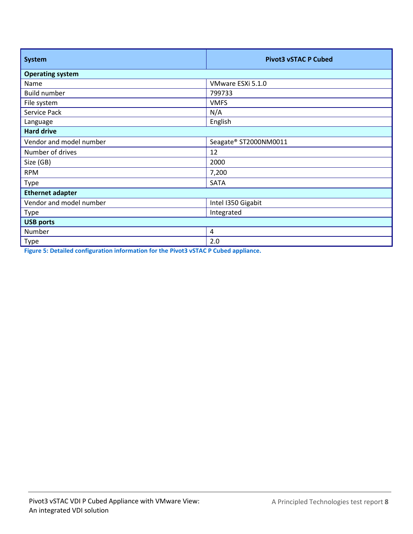| <b>System</b>           | <b>Pivot3 vSTAC P Cubed</b> |  |  |  |
|-------------------------|-----------------------------|--|--|--|
| <b>Operating system</b> |                             |  |  |  |
| Name                    | VMware ESXi 5.1.0           |  |  |  |
| <b>Build number</b>     | 799733                      |  |  |  |
| File system             | <b>VMFS</b>                 |  |  |  |
| Service Pack            | N/A                         |  |  |  |
| Language                | English                     |  |  |  |
| <b>Hard drive</b>       |                             |  |  |  |
| Vendor and model number | Seagate® ST2000NM0011       |  |  |  |
| Number of drives        | 12                          |  |  |  |
| Size (GB)               | 2000                        |  |  |  |
| <b>RPM</b>              | 7,200                       |  |  |  |
| Type                    | <b>SATA</b>                 |  |  |  |
| <b>Ethernet adapter</b> |                             |  |  |  |
| Vendor and model number | Intel I350 Gigabit          |  |  |  |
| Type                    | Integrated                  |  |  |  |
| <b>USB ports</b>        |                             |  |  |  |
| Number                  | $\overline{4}$              |  |  |  |
| Type                    | 2.0                         |  |  |  |

**Figure 5: Detailed configuration information for the Pivot3 vSTAC P Cubed appliance.**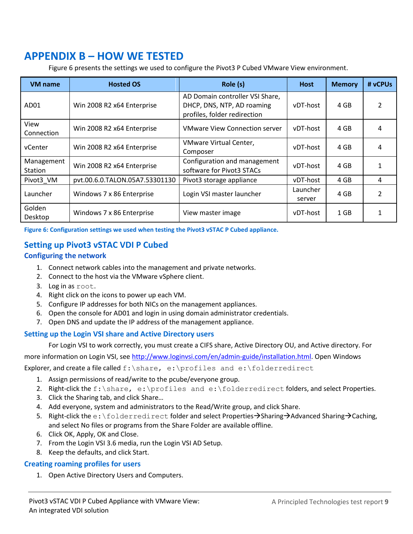# **APPENDIX B – HOW WE TESTED**

Figure 6 presents the settings we used to configure the Pivot3 P Cubed VMware View environment.

| <b>VM</b> name               | <b>Hosted OS</b>               | Role (s)                                                                                      | <b>Host</b>        | <b>Memory</b> | # vCPUs |
|------------------------------|--------------------------------|-----------------------------------------------------------------------------------------------|--------------------|---------------|---------|
| AD <sub>01</sub>             | Win 2008 R2 x64 Enterprise     | AD Domain controller VSI Share,<br>DHCP, DNS, NTP, AD roaming<br>profiles, folder redirection | vDT-host           | 4 GB          |         |
| View<br>Connection           | Win 2008 R2 x64 Enterprise     | <b>VMware View Connection server</b>                                                          | vDT-host           | 4 GB          | 4       |
| vCenter                      | Win 2008 R2 x64 Enterprise     | VMware Virtual Center,<br>Composer                                                            | vDT-host           | 4 GB          |         |
| Management<br><b>Station</b> | Win 2008 R2 x64 Enterprise     | Configuration and management<br>software for Pivot3 STACs                                     | vDT-host           | 4 GB          |         |
| Pivot3 VM                    | pvt.00.6.0.TALON.05A7.53301130 | Pivot3 storage appliance                                                                      | vDT-host           | 4 GB          | 4       |
| Launcher                     | Windows 7 x 86 Enterprise      | Login VSI master launcher                                                                     | Launcher<br>server | 4 GB          | 2       |
| Golden<br>Desktop            | Windows 7 x 86 Enterprise      | View master image                                                                             | vDT-host           | $1$ GB        |         |

**Figure 6: Configuration settings we used when testing the Pivot3 vSTAC P Cubed appliance.**

# **Setting up Pivot3 vSTAC VDI P Cubed**

# **Configuring the network**

- 1. Connect network cables into the management and private networks.
- 2. Connect to the host via the VMware vSphere client.
- 3. Log in as root.
- 4. Right click on the icons to power up each VM.
- 5. Configure IP addresses for both NICs on the management appliances.
- 6. Open the console for AD01 and login in using domain administrator credentials.
- 7. Open DNS and update the IP address of the management appliance.

# **Setting up the Login VSI share and Active Directory users**

For Login VSI to work correctly, you must create a CIFS share, Active Directory OU, and Active directory. For

more information on Login VSI, se[e http://www.loginvsi.com/en/admin-guide/installation.html.](http://www.loginvsi.com/en/admin-guide/installation.html) Open Windows

Explorer, and create a file called  $f:\sigma, e:\prod\limits_{i=1}^n a_i \cdot b_i$ 

- 1. Assign permissions of read/write to the pcube/everyone group.
- 2. Right-click the f:\share, e:\profiles and e:\folderredirect folders, and select Properties.
- 3. Click the Sharing tab, and click Share…
- 4. Add everyone, system and administrators to the Read/Write group, and click Share.
- 5. Right-click the e: \folderredirect folder and select Properties $\rightarrow$ Sharing $\rightarrow$ Advanced Sharing $\rightarrow$ Caching, and select No files or programs from the Share Folder are available offline.
- 6. Click OK, Apply, OK and Close.
- 7. From the Login VSI 3.6 media, run the Login VSI AD Setup.
- 8. Keep the defaults, and click Start.

## **Creating roaming profiles for users**

1. Open Active Directory Users and Computers.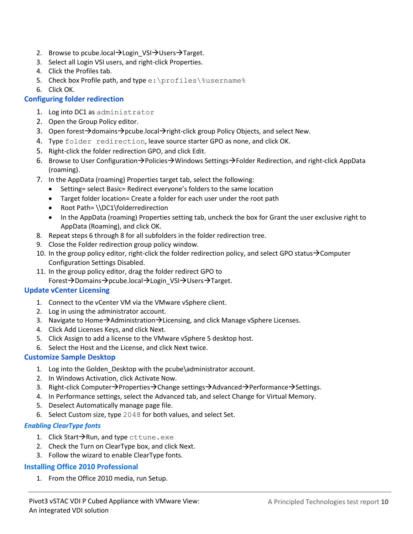- 2. Browse to pcube.local  $\rightarrow$  Login VSI $\rightarrow$  Users  $\rightarrow$  Target.
- 3. Select all Login VSI users, and right-click Properties.
- 4. Click the Profiles tab.
- 5. Check box Profile path, and type e: \profiles\%username%
- 6. Click OK.

# **Configuring folder redirection**

- 1. Log into DC1 as administrator
- 2. Open the Group Policy editor.
- 3. Open forest  $\rightarrow$  domains  $\rightarrow$  pcube.local  $\rightarrow$  right-click group Policy Objects, and select New.
- 4. Type folder redirection, leave source starter GPO as none, and click OK.
- 5. Right-click the folder redirection GPO, and click Edit.
- 6. Browse to User Configuration $\rightarrow$  Policies $\rightarrow$  Windows Settings $\rightarrow$  Folder Redirection, and right-click AppData (roaming).
- 7. In the AppData (roaming) Properties target tab, select the following:
	- Setting= select Basic= Redirect everyone's folders to the same location
	- Target folder location= Create a folder for each user under the root path
	- Root Path= \\DC1\folderredirection
	- In the AppData (roaming) Properties setting tab, uncheck the box for Grant the user exclusive right to AppData (Roaming), and click OK.
- 8. Repeat steps 6 through 8 for all subfolders in the folder redirection tree.
- 9. Close the Folder redirection group policy window.
- 10. In the group policy editor, right-click the folder redirection policy, and select GPO status $\rightarrow$ Computer Configuration Settings Disabled.
- 11. In the group policy editor, drag the folder redirect GPO to Forest > Domains > pcube.local > Login\_VSI > Users > Target.

## **Update vCenter Licensing**

- 1. Connect to the vCenter VM via the VMware vSphere client.
- 2. Log in using the administrator account.
- 3. Navigate to Home $\rightarrow$ Administration $\rightarrow$ Licensing, and click Manage vSphere Licenses.
- 4. Click Add Licenses Keys, and click Next.
- 5. Click Assign to add a license to the VMware vSphere 5 desktop host.
- 6. Select the Host and the License, and click Next twice.

## **Customize Sample Desktop**

- 1. Log into the Golden\_Desktop with the pcube\administrator account.
- 2. In Windows Activation, click Activate Now.
- 3. Right-click Computer $\rightarrow$ Properties $\rightarrow$ Change settings $\rightarrow$ Advanced $\rightarrow$ Performance $\rightarrow$ Settings.
- 4. In Performance settings, select the Advanced tab, and select Change for Virtual Memory.
- 5. Deselect Automatically manage page file.
- 6. Select Custom size, type 2048 for both values, and select Set.

## *Enabling ClearType fonts*

- 1. Click Start $\rightarrow$ Run, and type cttune.exe
- 2. Check the Turn on ClearType box, and click Next.
- 3. Follow the wizard to enable ClearType fonts.

# **Installing Office 2010 Professional**

1. From the Office 2010 media, run Setup.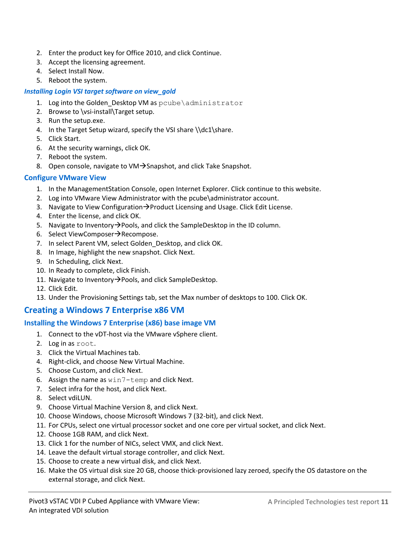- 2. Enter the product key for Office 2010, and click Continue.
- 3. Accept the licensing agreement.
- 4. Select Install Now.
- 5. Reboot the system.

### *Installing Login VSI target software on view\_gold*

- 1. Log into the Golden Desktop VM as pcube\administrator
- 2. Browse to \vsi-install\Target setup.
- 3. Run the setup.exe.
- 4. In the Target Setup wizard, specify the VSI share \\dc1\share.
- 5. Click Start.
- 6. At the security warnings, click OK.
- 7. Reboot the system.
- 8. Open console, navigate to VM $\rightarrow$ Snapshot, and click Take Snapshot.

### **Configure VMware View**

- 1. In the ManagementStation Console, open Internet Explorer. Click continue to this website.
- 2. Log into VMware View Administrator with the pcube\administrator account.
- 3. Navigate to View Configuration $\rightarrow$  Product Licensing and Usage. Click Edit License.
- 4. Enter the license, and click OK.
- 5. Navigate to Inventory  $\rightarrow$  Pools, and click the SampleDesktop in the ID column.
- 6. Select ViewComposer $\rightarrow$ Recompose.
- 7. In select Parent VM, select Golden\_Desktop, and click OK.
- 8. In Image, highlight the new snapshot. Click Next.
- 9. In Scheduling, click Next.
- 10. In Ready to complete, click Finish.
- 11. Navigate to Inventory  $\rightarrow$  Pools, and click SampleDesktop.
- 12. Click Edit.
- 13. Under the Provisioning Settings tab, set the Max number of desktops to 100. Click OK.

# **Creating a Windows 7 Enterprise x86 VM**

## **Installing the Windows 7 Enterprise (x86) base image VM**

- 1. Connect to the vDT-host via the VMware vSphere client.
- 2. Log in as root.
- 3. Click the Virtual Machines tab.
- 4. Right-click, and choose New Virtual Machine.
- 5. Choose Custom, and click Next.
- 6. Assign the name as win7-temp and click Next.
- 7. Select infra for the host, and click Next.
- 8. Select vdiLUN.
- 9. Choose Virtual Machine Version 8, and click Next.
- 10. Choose Windows, choose Microsoft Windows 7 (32-bit), and click Next.
- 11. For CPUs, select one virtual processor socket and one core per virtual socket, and click Next.
- 12. Choose 1GB RAM, and click Next.
- 13. Click 1 for the number of NICs, select VMX, and click Next.
- 14. Leave the default virtual storage controller, and click Next.
- 15. Choose to create a new virtual disk, and click Next.
- 16. Make the OS virtual disk size 20 GB, choose thick-provisioned lazy zeroed, specify the OS datastore on the external storage, and click Next.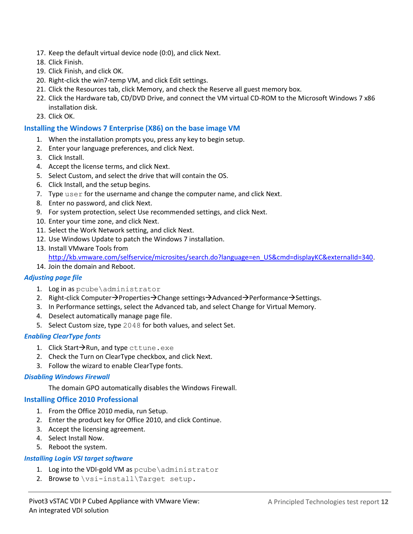- 17. Keep the default virtual device node (0:0), and click Next.
- 18. Click Finish.
- 19. Click Finish, and click OK.
- 20. Right-click the win7-temp VM, and click Edit settings.
- 21. Click the Resources tab, click Memory, and check the Reserve all guest memory box.
- 22. Click the Hardware tab, CD/DVD Drive, and connect the VM virtual CD-ROM to the Microsoft Windows 7 x86 installation disk.
- 23. Click OK.

#### **Installing the Windows 7 Enterprise (X86) on the base image VM**

- 1. When the installation prompts you, press any key to begin setup.
- 2. Enter your language preferences, and click Next.
- 3. Click Install.
- 4. Accept the license terms, and click Next.
- 5. Select Custom, and select the drive that will contain the OS.
- 6. Click Install, and the setup begins.
- 7. Type user for the username and change the computer name, and click Next.
- 8. Enter no password, and click Next.
- 9. For system protection, select Use recommended settings, and click Next.
- 10. Enter your time zone, and click Next.
- 11. Select the Work Network setting, and click Next.
- 12. Use Windows Update to patch the Windows 7 installation.
- 13. Install VMware Tools from

[http://kb.vmware.com/selfservice/microsites/search.do?language=en\\_US&cmd=displayKC&externalId=340.](http://kb.vmware.com/selfservice/microsites/search.do?language=en_US&cmd=displayKC&externalId=340)

14. Join the domain and Reboot.

#### *Adjusting page file*

- 1. Log in as pcube\administrator
- 2. Right-click Computer $\rightarrow$ Properties $\rightarrow$ Change settings $\rightarrow$ Advanced $\rightarrow$ Performance $\rightarrow$ Settings.
- 3. In Performance settings, select the Advanced tab, and select Change for Virtual Memory.
- 4. Deselect automatically manage page file.
- 5. Select Custom size, type 2048 for both values, and select Set.

#### *Enabling ClearType fonts*

- 1. Click Start $\rightarrow$ Run, and type cttune.exe
- 2. Check the Turn on ClearType checkbox, and click Next.
- 3. Follow the wizard to enable ClearType fonts.

#### *Disabling Windows Firewall*

The domain GPO automatically disables the Windows Firewall.

#### **Installing Office 2010 Professional**

- 1. From the Office 2010 media, run Setup.
- 2. Enter the product key for Office 2010, and click Continue.
- 3. Accept the licensing agreement.
- 4. Select Install Now.
- 5. Reboot the system.

#### *Installing Login VSI target software*

- 1. Log into the VDI-gold VM as pcube\administrator
- 2. Browse to \vsi-install\Target setup.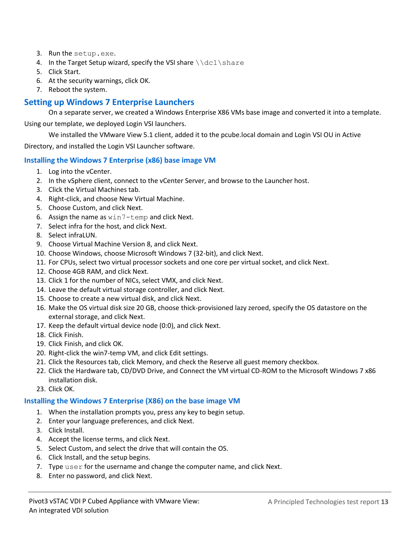- 3. Run the setup.exe.
- 4. In the Target Setup wizard, specify the VSI share  $\ldots$  share
- 5. Click Start.
- 6. At the security warnings, click OK.
- 7. Reboot the system.

# **Setting up Windows 7 Enterprise Launchers**

On a separate server, we created a Windows Enterprise X86 VMs base image and converted it into a template.

Using our template, we deployed Login VSI launchers.

We installed the VMware View 5.1 client, added it to the pcube.local domain and Login VSI OU in Active

Directory, and installed the Login VSI Launcher software.

### **Installing the Windows 7 Enterprise (x86) base image VM**

- 1. Log into the vCenter.
- 2. In the vSphere client, connect to the vCenter Server, and browse to the Launcher host.
- 3. Click the Virtual Machines tab.
- 4. Right-click, and choose New Virtual Machine.
- 5. Choose Custom, and click Next.
- 6. Assign the name as win7-temp and click Next.
- 7. Select infra for the host, and click Next.
- 8. Select infraLUN.
- 9. Choose Virtual Machine Version 8, and click Next.
- 10. Choose Windows, choose Microsoft Windows 7 (32-bit), and click Next.
- 11. For CPUs, select two virtual processor sockets and one core per virtual socket, and click Next.
- 12. Choose 4GB RAM, and click Next.
- 13. Click 1 for the number of NICs, select VMX, and click Next.
- 14. Leave the default virtual storage controller, and click Next.
- 15. Choose to create a new virtual disk, and click Next.
- 16. Make the OS virtual disk size 20 GB, choose thick-provisioned lazy zeroed, specify the OS datastore on the external storage, and click Next.
- 17. Keep the default virtual device node (0:0), and click Next.
- 18. Click Finish.
- 19. Click Finish, and click OK.
- 20. Right-click the win7-temp VM, and click Edit settings.
- 21. Click the Resources tab, click Memory, and check the Reserve all guest memory checkbox.
- 22. Click the Hardware tab, CD/DVD Drive, and Connect the VM virtual CD-ROM to the Microsoft Windows 7 x86 installation disk.
- 23. Click OK.

#### **Installing the Windows 7 Enterprise (X86) on the base image VM**

- 1. When the installation prompts you, press any key to begin setup.
- 2. Enter your language preferences, and click Next.
- 3. Click Install.
- 4. Accept the license terms, and click Next.
- 5. Select Custom, and select the drive that will contain the OS.
- 6. Click Install, and the setup begins.
- 7. Type user for the username and change the computer name, and click Next.
- 8. Enter no password, and click Next.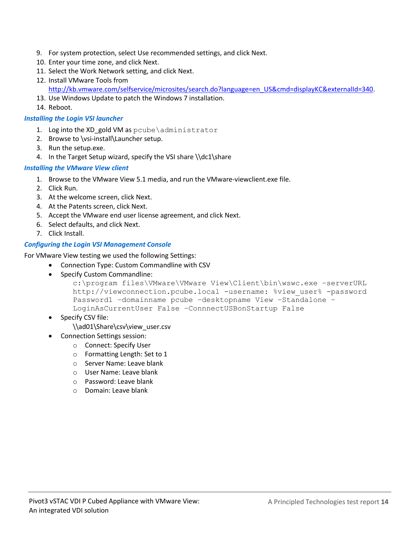- 9. For system protection, select Use recommended settings, and click Next.
- 10. Enter your time zone, and click Next.
- 11. Select the Work Network setting, and click Next.
- 12. Install VMware Tools from [http://kb.vmware.com/selfservice/microsites/search.do?language=en\\_US&cmd=displayKC&externalId=340.](http://kb.vmware.com/selfservice/microsites/search.do?language=en_US&cmd=displayKC&externalId=340)
- 13. Use Windows Update to patch the Windows 7 installation.
- 14. Reboot.

### *Installing the Login VSI launcher*

- 1. Log into the XD gold VM as pcube\administrator
- 2. Browse to \vsi-install\Launcher setup.
- 3. Run the setup.exe.
- 4. In the Target Setup wizard, specify the VSI share \\dc1\share

### *Installing the VMware View client*

- 1. Browse to the VMware View 5.1 media, and run the VMware-viewclient.exe file.
- 2. Click Run.
- 3. At the welcome screen, click Next.
- 4. At the Patents screen, click Next.
- 5. Accept the VMware end user license agreement, and click Next.
- 6. Select defaults, and click Next.
- 7. Click Install.

### *Configuring the Login VSI Management Console*

For VMware View testing we used the following Settings:

- Connection Type: Custom Commandline with CSV
- Specify Custom Commandline:

```
c:\program files\VMware\VMware View\Client\bin\wswc.exe –serverURL 
http://viewconnection.pcube.local -username: %view user% -password
Password1 –domainname pcube –desktopname View –Standalone –
LoginAsCurrentUser False –ConnnectUSBonStartup False
```
Specify CSV file:

\\ad01\Share\csv\view\_user.csv

- Connection Settings session:
	- o Connect: Specify User
		- o Formatting Length: Set to 1
		- o Server Name: Leave blank
		- o User Name: Leave blank
		- o Password: Leave blank
		- o Domain: Leave blank